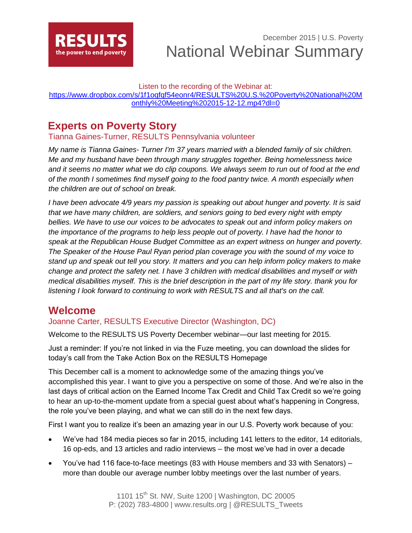

December 2015 | U.S. Poverty National Webinar Summary

#### Listen to the recording of the Webinar at:

[https://www.dropbox.com/s/1f1oqfqf54eonr4/RESULTS%20U.S.%20Poverty%20National%20M](https://www.dropbox.com/s/1f1oqfqf54eonr4/RESULTS%20U.S.%20Poverty%20National%20Monthly%20Meeting%202015-12-12.mp4?dl=0) [onthly%20Meeting%202015-12-12.mp4?dl=0](https://www.dropbox.com/s/1f1oqfqf54eonr4/RESULTS%20U.S.%20Poverty%20National%20Monthly%20Meeting%202015-12-12.mp4?dl=0)

## **Experts on Poverty Story**

Tianna Gaines-Turner, RESULTS Pennsylvania volunteer

*My name is Tianna Gaines- Turner I'm 37 years married with a blended family of six children. Me and my husband have been through many struggles together. Being homelessness twice and it seems no matter what we do clip coupons. We always seem to run out of food at the end of the month I sometimes find myself going to the food pantry twice. A month especially when the children are out of school on break.*

*I have been advocate 4/9 years my passion is speaking out about hunger and poverty. It is said that we have many children, are soldiers, and seniors going to bed every night with empty bellies. We have to use our voices to be advocates to speak out and inform policy makers on the importance of the programs to help less people out of poverty. I have had the honor to speak at the Republican House Budget Committee as an expert witness on hunger and poverty. The Speaker of the House Paul Ryan period plan coverage you with the sound of my voice to stand up and speak out tell you story. It matters and you can help inform policy makers to make change and protect the safety net. I have 3 children with medical disabilities and myself or with medical disabilities myself. This is the brief description in the part of my life story. thank you for listening I look forward to continuing to work with RESULTS and all that's on the call.*

## **Welcome**

### Joanne Carter, RESULTS Executive Director (Washington, DC)

Welcome to the RESULTS US Poverty December webinar—our last meeting for 2015.

Just a reminder: If you're not linked in via the Fuze meeting, you can download the slides for today's call from the Take Action Box on the RESULTS Homepage

This December call is a moment to acknowledge some of the amazing things you've accomplished this year. I want to give you a perspective on some of those. And we're also in the last days of critical action on the Earned Income Tax Credit and Child Tax Credit so we're going to hear an up-to-the-moment update from a special guest about what's happening in Congress, the role you've been playing, and what we can still do in the next few days.

First I want you to realize it's been an amazing year in our U.S. Poverty work because of you:

- We've had 184 media pieces so far in 2015, including 141 letters to the editor, 14 editorials, 16 op-eds, and 13 articles and radio interviews – the most we've had in over a decade
- You've had 116 face-to-face meetings (83 with House members and 33 with Senators) more than double our average number lobby meetings over the last number of years.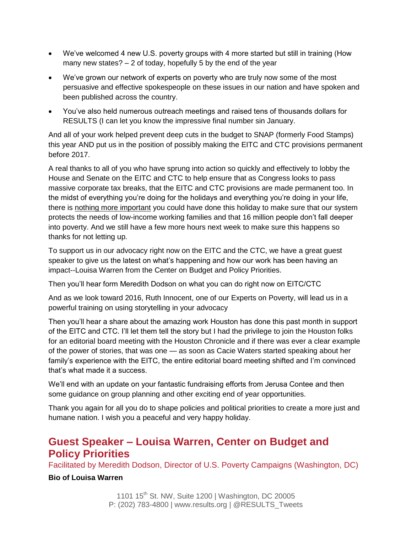- We've welcomed 4 new U.S. poverty groups with 4 more started but still in training (How many new states? – 2 of today, hopefully 5 by the end of the year
- We've grown our network of experts on poverty who are truly now some of the most persuasive and effective spokespeople on these issues in our nation and have spoken and been published across the country.
- You've also held numerous outreach meetings and raised tens of thousands dollars for RESULTS (I can let you know the impressive final number sin January.

And all of your work helped prevent deep cuts in the budget to SNAP (formerly Food Stamps) this year AND put us in the position of possibly making the EITC and CTC provisions permanent before 2017.

A real thanks to all of you who have sprung into action so quickly and effectively to lobby the House and Senate on the EITC and CTC to help ensure that as Congress looks to pass massive corporate tax breaks, that the EITC and CTC provisions are made permanent too. In the midst of everything you're doing for the holidays and everything you're doing in your life, there is nothing more important you could have done this holiday to make sure that our system protects the needs of low-income working families and that 16 million people don't fall deeper into poverty. And we still have a few more hours next week to make sure this happens so thanks for not letting up.

To support us in our advocacy right now on the EITC and the CTC, we have a great guest speaker to give us the latest on what's happening and how our work has been having an impact--Louisa Warren from the Center on Budget and Policy Priorities.

Then you'll hear form Meredith Dodson on what you can do right now on EITC/CTC

And as we look toward 2016, Ruth Innocent, one of our Experts on Poverty, will lead us in a powerful training on using storytelling in your advocacy

Then you'll hear a share about the amazing work Houston has done this past month in support of the EITC and CTC. I'll let them tell the story but I had the privilege to join the Houston folks for an editorial board meeting with the Houston Chronicle and if there was ever a clear example of the power of stories, that was one — as soon as Cacie Waters started speaking about her family's experience with the EITC, the entire editorial board meeting shifted and I'm convinced that's what made it a success.

We'll end with an update on your fantastic fundraising efforts from Jerusa Contee and then some guidance on group planning and other exciting end of year opportunities.

Thank you again for all you do to shape policies and political priorities to create a more just and humane nation. I wish you a peaceful and very happy holiday.

## **Guest Speaker – Louisa Warren, Center on Budget and Policy Priorities**

Facilitated by Meredith Dodson, Director of U.S. Poverty Campaigns (Washington, DC)

### **Bio of Louisa Warren**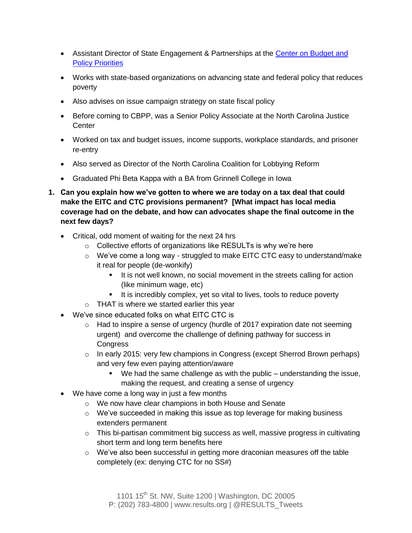- Assistant Director of State Engagement & Partnerships at the Center on Budget and **[Policy Priorities](http://www.cbpp.org/)**
- Works with state-based organizations on advancing state and federal policy that reduces poverty
- Also advises on issue campaign strategy on state fiscal policy
- Before coming to CBPP, was a Senior Policy Associate at the North Carolina Justice **Center**
- Worked on tax and budget issues, income supports, workplace standards, and prisoner re-entry
- Also served as Director of the North Carolina Coalition for Lobbying Reform
- Graduated Phi Beta Kappa with a BA from Grinnell College in Iowa
- **1. Can you explain how we've gotten to where we are today on a tax deal that could make the EITC and CTC provisions permanent? [What impact has local media coverage had on the debate, and how can advocates shape the final outcome in the next few days?**
	- Critical, odd moment of waiting for the next 24 hrs
		- o Collective efforts of organizations like RESULTs is why we're here
		- o We've come a long way struggled to make EITC CTC easy to understand/make it real for people (de-wonkify)
			- It is not well known, no social movement in the streets calling for action (like minimum wage, etc)
			- It is incredibly complex, yet so vital to lives, tools to reduce poverty
		- o THAT is where we started earlier this year
	- We've since educated folks on what EITC CTC is
		- $\circ$  Had to inspire a sense of urgency (hurdle of 2017 expiration date not seeming urgent) and overcome the challenge of defining pathway for success in **Congress**
		- $\circ$  In early 2015: very few champions in Congress (except Sherrod Brown perhaps) and very few even paying attention/aware
			- We had the same challenge as with the public understanding the issue, making the request, and creating a sense of urgency
	- We have come a long way in just a few months
		- o We now have clear champions in both House and Senate
		- $\circ$  We've succeeded in making this issue as top leverage for making business extenders permanent
		- o This bi-partisan commitment big success as well, massive progress in cultivating short term and long term benefits here
		- $\circ$  We've also been successful in getting more draconian measures off the table completely (ex: denying CTC for no SS#)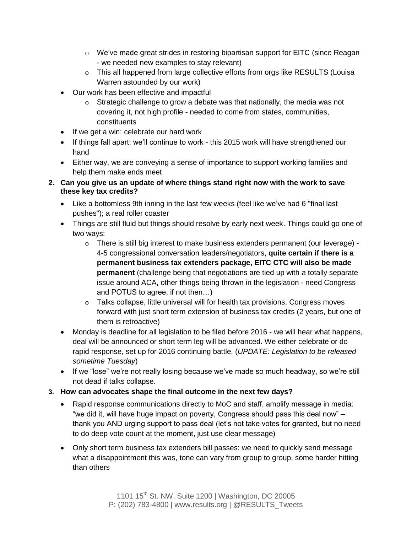- $\circ$  We've made great strides in restoring bipartisan support for EITC (since Reagan - we needed new examples to stay relevant)
- $\circ$  This all happened from large collective efforts from orgs like RESULTS (Louisa Warren astounded by our work)
- Our work has been effective and impactful
	- $\circ$  Strategic challenge to grow a debate was that nationally, the media was not covering it, not high profile - needed to come from states, communities, constituents
- If we get a win: celebrate our hard work
- If things fall apart: we'll continue to work this 2015 work will have strengthened our hand
- Either way, we are conveying a sense of importance to support working families and help them make ends meet
- **2. Can you give us an update of where things stand right now with the work to save these key tax credits?**
	- Like a bottomless 9th inning in the last few weeks (feel like we've had 6 "final last pushes"); a real roller coaster
	- Things are still fluid but things should resolve by early next week. Things could go one of two ways:
		- $\circ$  There is still big interest to make business extenders permanent (our leverage) -4-5 congressional conversation leaders/negotiators, **quite certain if there is a permanent business tax extenders package, EITC CTC will also be made permanent** (challenge being that negotiations are tied up with a totally separate issue around ACA, other things being thrown in the legislation - need Congress and POTUS to agree, if not then…)
		- $\circ$  Talks collapse, little universal will for health tax provisions, Congress moves forward with just short term extension of business tax credits (2 years, but one of them is retroactive)
	- Monday is deadline for all legislation to be filed before 2016 we will hear what happens, deal will be announced or short term leg will be advanced. We either celebrate or do rapid response, set up for 2016 continuing battle. (*UPDATE: Legislation to be released sometime Tuesday*)
	- If we "lose" we're not really losing because we've made so much headway, so we're still not dead if talks collapse.
- **3. How can advocates shape the final outcome in the next few days?**
	- Rapid response communications directly to MoC and staff, amplify message in media: "we did it, will have huge impact on poverty, Congress should pass this deal now" – thank you AND urging support to pass deal (let's not take votes for granted, but no need to do deep vote count at the moment, just use clear message)
	- Only short term business tax extenders bill passes: we need to quickly send message what a disappointment this was, tone can vary from group to group, some harder hitting than others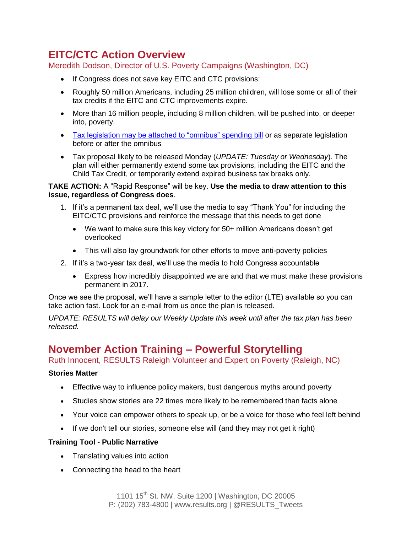# **EITC/CTC Action Overview**

Meredith Dodson, Director of U.S. Poverty Campaigns (Washington, DC)

- If Congress does not save key EITC and CTC provisions:
- Roughly 50 million Americans, including 25 million children, will lose some or all of their tax credits if the EITC and CTC improvements expire.
- More than 16 million people, including 8 million children, will be pushed into, or deeper into, poverty.
- [Tax legislation may be attached to "omnibus" spending bill](http://www.politico.com/tipsheets/morning-tax/) or as separate legislation before or after the omnibus
- Tax proposal likely to be released Monday (*UPDATE: Tuesday or Wednesday*). The plan will either permanently extend some tax provisions, including the EITC and the Child Tax Credit, or temporarily extend expired business tax breaks only.

#### **TAKE ACTION:** A "Rapid Response" will be key. **Use the media to draw attention to this issue, regardless of Congress does**.

- 1. If it's a permanent tax deal, we'll use the media to say "Thank You" for including the EITC/CTC provisions and reinforce the message that this needs to get done
	- We want to make sure this key victory for 50+ million Americans doesn't get overlooked
	- This will also lay groundwork for other efforts to move anti-poverty policies
- 2. If it's a two-year tax deal, we'll use the media to hold Congress accountable
	- Express how incredibly disappointed we are and that we must make these provisions permanent in 2017.

Once we see the proposal, we'll have a sample letter to the editor (LTE) available so you can take action fast. Look for an e-mail from us once the plan is released.

*UPDATE: RESULTS will delay our Weekly Update this week until after the tax plan has been released.*

## **November Action Training – Powerful Storytelling**

Ruth Innocent, RESULTS Raleigh Volunteer and Expert on Poverty (Raleigh, NC)

#### **Stories Matter**

- Effective way to influence policy makers, bust dangerous myths around poverty
- Studies show stories are 22 times more likely to be remembered than facts alone
- Your voice can empower others to speak up, or be a voice for those who feel left behind
- If we don't tell our stories, someone else will (and they may not get it right)

#### **Training Tool - Public Narrative**

- Translating values into action
- Connecting the head to the heart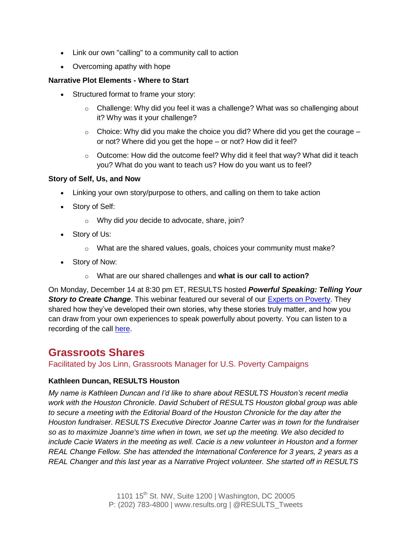- Link our own "calling" to a community call to action
- Overcoming apathy with hope

### **Narrative Plot Elements - Where to Start**

- Structured format to frame your story:
	- $\circ$  Challenge: Why did you feel it was a challenge? What was so challenging about it? Why was it your challenge?
	- $\circ$  Choice: Why did you make the choice you did? Where did you get the courage or not? Where did you get the hope – or not? How did it feel?
	- $\circ$  Outcome: How did the outcome feel? Why did it feel that way? What did it teach you? What do you want to teach us? How do you want us to feel?

#### **Story of Self, Us, and Now**

- Linking your own story/purpose to others, and calling on them to take action
- Story of Self:
	- o Why did *you* decide to advocate, share, join?
- Story of Us:
	- o What are the shared values, goals, choices your community must make?
- Story of Now:
	- o What are our shared challenges and **what is our call to action?**

On Monday, December 14 at 8:30 pm ET, RESULTS hosted *Powerful Speaking: Telling Your*  **Story to Create Change**. This webinar featured our several of our **Experts on Poverty**. They shared how they've developed their own stories, why these stories truly matter, and how you can draw from your own experiences to speak powerfully about poverty. You can listen to a recording of the call [here.](https://www.fuzemeeting.com/replay_meeting/f2988286/7760898)

## **Grassroots Shares**

Facilitated by Jos Linn, Grassroots Manager for U.S. Poverty Campaigns

### **Kathleen Duncan, RESULTS Houston**

*My name is Kathleen Duncan and I'd like to share about RESULTS Houston's recent media work with the Houston Chronicle. David Schubert of RESULTS Houston global group was able to secure a meeting with the Editorial Board of the Houston Chronicle for the day after the Houston fundraiser. RESULTS Executive Director Joanne Carter was in town for the fundraiser so as to maximize Joanne's time when in town, we set up the meeting. We also decided to include Cacie Waters in the meeting as well. Cacie is a new volunteer in Houston and a former REAL Change Fellow. She has attended the International Conference for 3 years, 2 years as a REAL Changer and this last year as a Narrative Project volunteer. She started off in RESULTS*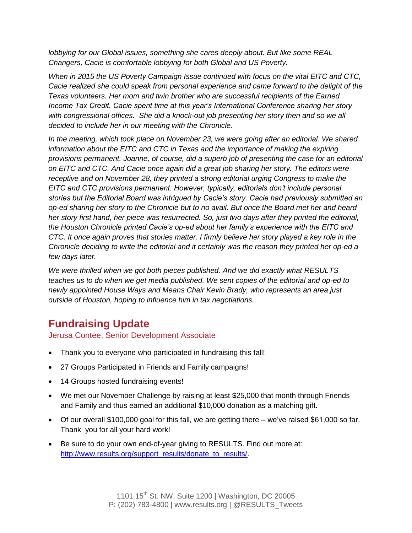*lobbying for our Global issues, something she cares deeply about. But like some REAL Changers, Cacie is comfortable lobbying for both Global and US Poverty.*

*When in 2015 the US Poverty Campaign Issue continued with focus on the vital EITC and CTC, Cacie realized she could speak from personal experience and came forward to the delight of the Texas volunteers. Her mom and twin brother who are successful recipients of the Earned Income Tax Credit. Cacie spent time at this year's International Conference sharing her story*  with congressional offices. She did a knock-out job presenting her story then and so we all *decided to include her in our meeting with the Chronicle.*

*In the meeting, which took place on November 23, we were going after an editorial. We shared information about the EITC and CTC in Texas and the importance of making the expiring provisions permanent. Joanne, of course, did a superb job of presenting the case for an editorial on EITC and CTC. And Cacie once again did a great job sharing her story. The editors were receptive and on November 28, they printed a strong editorial urging Congress to make the EITC and CTC provisions permanent. However, typically, editorials don't include personal stories but the Editorial Board was intrigued by Cacie's story. Cacie had previously submitted an op-ed sharing her story to the Chronicle but to no avail. But once the Board met her and heard her story first hand, her piece was resurrected. So, just two days after they printed the editorial, the Houston Chronicle printed Cacie's op-ed about her family's experience with the EITC and CTC. It once again proves that stories matter. I firmly believe her story played a key role in the Chronicle deciding to write the editorial and it certainly was the reason they printed her op-ed a few days later.*

*We were thrilled when we got both pieces published. And we did exactly what RESULTS teaches us to do when we get media published. We sent copies of the editorial and op-ed to newly appointed House Ways and Means Chair Kevin Brady, who represents an area just outside of Houston, hoping to influence him in tax negotiations.*

# **Fundraising Update**

Jerusa Contee, Senior Development Associate

- Thank you to everyone who participated in fundraising this fall!
- 27 Groups Participated in Friends and Family campaigns!
- 14 Groups hosted fundraising events!
- We met our November Challenge by raising at least \$25,000 that month through Friends and Family and thus earned an additional \$10,000 donation as a matching gift.
- Of our overall \$100,000 goal for this fall, we are getting there we've raised \$61,000 so far. Thank you for all your hard work!
- Be sure to do your own end-of-year giving to RESULTS. Find out more at: [http://www.results.org/support\\_results/donate\\_to\\_results/.](http://www.results.org/support_results/donate_to_results/)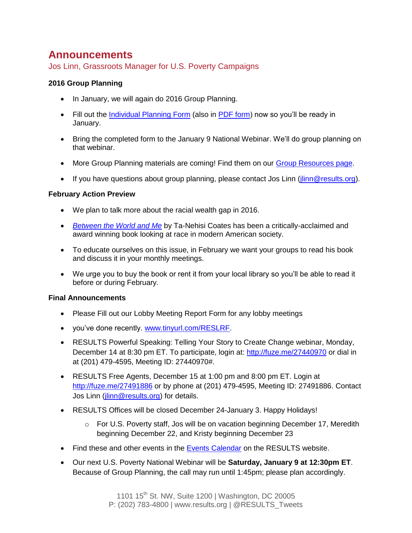## **Announcements**

Jos Linn, Grassroots Manager for U.S. Poverty Campaigns

### **2016 Group Planning**

- In January, we will again do 2016 Group Planning.
- Fill out the *Individual Planning Form* (also in [PDF form\)](http://www.results.org/uploads/files/2016_Individual_Planning_Form.pdf) now so you'll be ready in January.
- Bring the completed form to the January 9 National Webinar. We'll do group planning on that webinar.
- More Group Planning materials are coming! Find them on our [Group Resources page.](http://www.results.org/skills_center/group_resources_and_admin/)
- If you have questions about group planning, please contact Jos Linn ( $\lim_{n \to \infty}$  results.org).

### **February Action Preview**

- We plan to talk more about the racial wealth gap in 2016.
- *[Between the World and Me](http://www.amazon.com/Between-World-Me-Ta-Nehisi-Coates/dp/0812993543)* by Ta-Nehisi Coates has been a critically-acclaimed and award winning book looking at race in modern American society.
- To educate ourselves on this issue, in February we want your groups to read his book and discuss it in your monthly meetings.
- We urge you to buy the book or rent it from your local library so you'll be able to read it before or during February.

#### **Final Announcements**

- Please Fill out our Lobby Meeting Report Form for any lobby meetings
- you've done recently. [www.tinyurl.com/RESLRF.](http://www.tinyurl.com/RESLRF)
- RESULTS Powerful Speaking: Telling Your Story to Create Change webinar, Monday, December 14 at 8:30 pm ET. To participate, login at:<http://fuze.me/27440970> or dial in at (201) 479-4595, Meeting ID: 27440970#.
- RESULTS Free Agents, December 15 at 1:00 pm and 8:00 pm ET. Login at <http://fuze.me/27491886> or by phone at (201) 479-4595, Meeting ID: 27491886. Contact Jos Linn (*jlinn@results.org*) for details.
- RESULTS Offices will be closed December 24-January 3. Happy Holidays!
	- $\circ$  For U.S. Poverty staff, Jos will be on vacation beginning December 17, Meredith beginning December 22, and Kristy beginning December 23
- Find these and other events in the [Events Calendar](http://www.results.org/events/events_calendar/) on the RESULTS website.
- Our next U.S. Poverty National Webinar will be **Saturday, January 9 at 12:30pm ET**. Because of Group Planning, the call may run until 1:45pm; please plan accordingly.